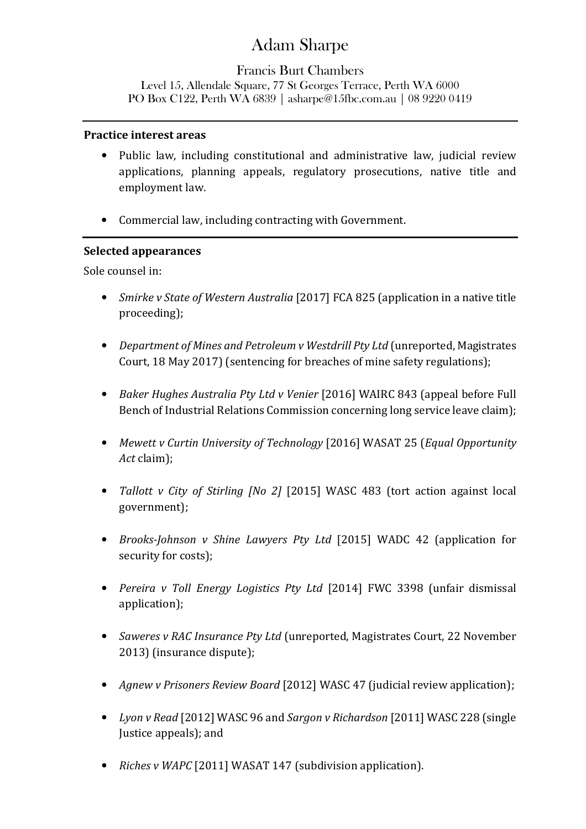# Adam Sharpe

## Francis Burt Chambers Level 15, Allendale Square, 77 St Georges Terrace, Perth WA 6000 PO Box C122, Perth WA 6839 | asharpe@15fbc.com.au | 08 9220 0419

#### **Practice interest areas**

- Public law, including constitutional and administrative law, judicial review applications, planning appeals, regulatory prosecutions, native title and employment law.
- Commercial law, including contracting with Government.

### **Selected appearances**

Sole counsel in:

- *Smirke v State of Western Australia* [2017] FCA 825 (application in a native title proceeding);
- *Department of Mines and Petroleum v Westdrill Pty Ltd* (unreported, Magistrates Court, 18 May 2017) (sentencing for breaches of mine safety regulations);
- *Baker Hughes Australia Pty Ltd v Venier* [2016] WAIRC 843 (appeal before Full Bench of Industrial Relations Commission concerning long service leave claim);
- *Mewett v Curtin University of Technology* [2016] WASAT 25 (*Equal Opportunity Act* claim);
- *Tallott v City of Stirling [No 2]* [2015] WASC 483 (tort action against local government);
- *Brooks-Johnson v Shine Lawyers Pty Ltd* [2015] WADC 42 (application for security for costs);
- *Pereira v Toll Energy Logistics Pty Ltd* [2014] FWC 3398 (unfair dismissal application);
- *Saweres v RAC Insurance Pty Ltd* (unreported, Magistrates Court, 22 November 2013) (insurance dispute);
- *Agnew v Prisoners Review Board* [2012] WASC 47 (judicial review application);
- *Lyon v Read* [2012] WASC 96 and *Sargon v Richardson* [2011] WASC 228 (single Justice appeals); and
- *Riches v WAPC* [2011] WASAT 147 (subdivision application).